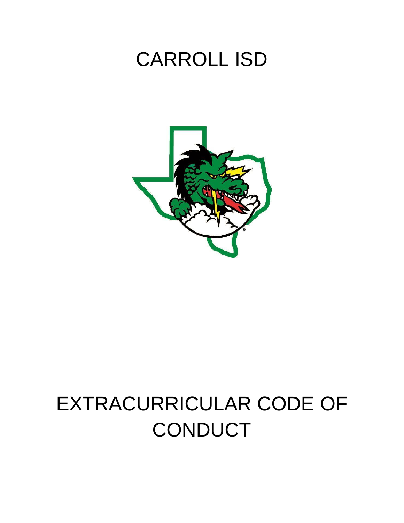## CARROLL ISD



# EXTRACURRICULAR CODE OF **CONDUCT**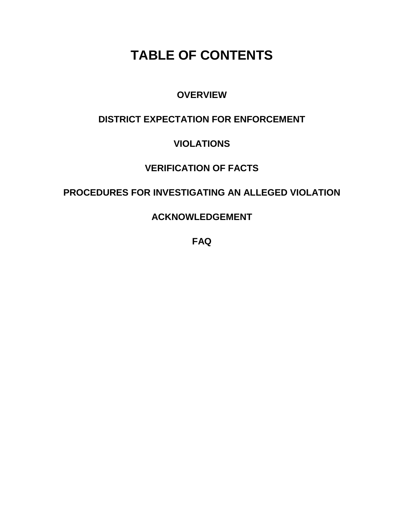## **TABLE OF CONTENTS**

### **OVERVIEW**

## **DISTRICT EXPECTATION FOR ENFORCEMENT**

## **VIOLATIONS**

## **VERIFICATION OF FACTS**

### **PROCEDURES FOR INVESTIGATING AN ALLEGED VIOLATION**

**ACKNOWLEDGEMENT**

**FAQ**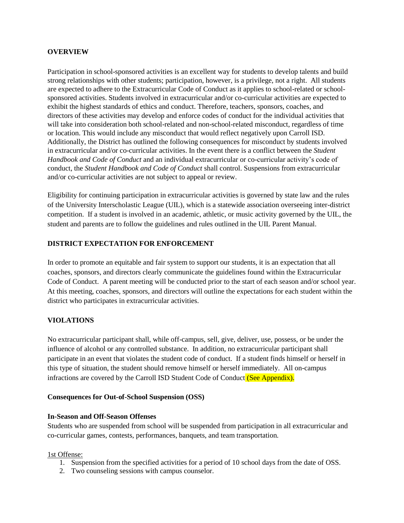#### **OVERVIEW**

Participation in school-sponsored activities is an excellent way for students to develop talents and build strong relationships with other students; participation, however, is a privilege, not a right. All students are expected to adhere to the Extracurricular Code of Conduct as it applies to school-related or schoolsponsored activities. Students involved in extracurricular and/or co-curricular activities are expected to exhibit the highest standards of ethics and conduct. Therefore, teachers, sponsors, coaches, and directors of these activities may develop and enforce codes of conduct for the individual activities that will take into consideration both school-related and non-school-related misconduct, regardless of time or location. This would include any misconduct that would reflect negatively upon Carroll ISD. Additionally, the District has outlined the following consequences for misconduct by students involved in extracurricular and/or co-curricular activities. In the event there is a conflict between the *Student Handbook and Code of Conduct* and an individual extracurricular or co-curricular activity's code of conduct, the *Student Handbook and Code of Conduct* shall control. Suspensions from extracurricular and/or co-curricular activities are not subject to appeal or review.

Eligibility for continuing participation in extracurricular activities is governed by state law and the rules of the University Interscholastic League (UIL), which is a statewide association overseeing inter-district competition. If a student is involved in an academic, athletic, or music activity governed by the UIL, the student and parents are to follow the guidelines and rules outlined in the UIL Parent Manual.

#### **DISTRICT EXPECTATION FOR ENFORCEMENT**

In order to promote an equitable and fair system to support our students, it is an expectation that all coaches, sponsors, and directors clearly communicate the guidelines found within the Extracurricular Code of Conduct. A parent meeting will be conducted prior to the start of each season and/or school year. At this meeting, coaches, sponsors, and directors will outline the expectations for each student within the district who participates in extracurricular activities.

#### **VIOLATIONS**

No extracurricular participant shall, while off-campus, sell, give, deliver, use, possess, or be under the influence of alcohol or any controlled substance. In addition, no extracurricular participant shall participate in an event that violates the student code of conduct. If a student finds himself or herself in this type of situation, the student should remove himself or herself immediately. All on-campus infractions are covered by the Carroll ISD Student Code of Conduct (See Appendix).

#### **Consequences for Out-of-School Suspension (OSS)**

#### **In-Season and Off-Season Offenses**

Students who are suspended from school will be suspended from participation in all extracurricular and co-curricular games, contests, performances, banquets, and team transportation.

#### 1st Offense:

- 1. Suspension from the specified activities for a period of 10 school days from the date of OSS.
- 2. Two counseling sessions with campus counselor.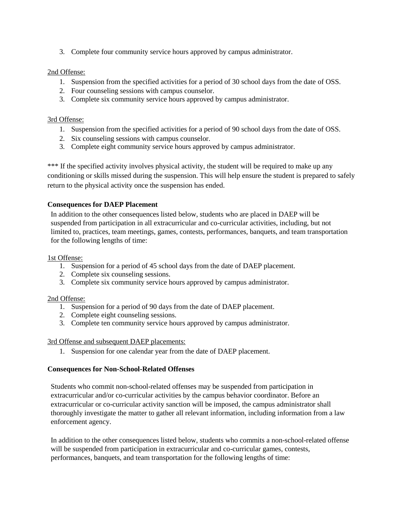3. Complete four community service hours approved by campus administrator.

#### 2nd Offense:

- 1. Suspension from the specified activities for a period of 30 school days from the date of OSS.
- 2. Four counseling sessions with campus counselor.
- 3. Complete six community service hours approved by campus administrator.

#### 3rd Offense:

- 1. Suspension from the specified activities for a period of 90 school days from the date of OSS.
- 2. Six counseling sessions with campus counselor.
- 3. Complete eight community service hours approved by campus administrator.

\*\*\* If the specified activity involves physical activity, the student will be required to make up any conditioning or skills missed during the suspension. This will help ensure the student is prepared to safely return to the physical activity once the suspension has ended.

#### **Consequences for DAEP Placement**

In addition to the other consequences listed below, students who are placed in DAEP will be suspended from participation in all extracurricular and co-curricular activities, including, but not limited to, practices, team meetings, games, contests, performances, banquets, and team transportation for the following lengths of time:

#### 1st Offense:

- 1. Suspension for a period of 45 school days from the date of DAEP placement.
- 2. Complete six counseling sessions.
- 3. Complete six community service hours approved by campus administrator.

#### 2nd Offense:

- 1. Suspension for a period of 90 days from the date of DAEP placement.
- 2. Complete eight counseling sessions.
- 3. Complete ten community service hours approved by campus administrator.

#### 3rd Offense and subsequent DAEP placements:

1. Suspension for one calendar year from the date of DAEP placement.

#### **Consequences for Non-School-Related Offenses**

Students who commit non-school-related offenses may be suspended from participation in extracurricular and/or co-curricular activities by the campus behavior coordinator. Before an extracurricular or co-curricular activity sanction will be imposed, the campus administrator shall thoroughly investigate the matter to gather all relevant information, including information from a law enforcement agency.

In addition to the other consequences listed below, students who commits a non-school-related offense will be suspended from participation in extracurricular and co-curricular games, contests, performances, banquets, and team transportation for the following lengths of time: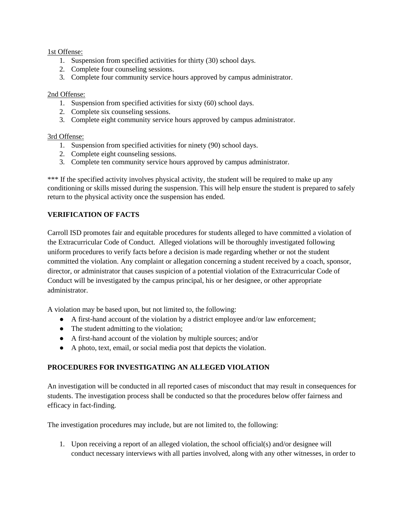#### 1st Offense:

- 1. Suspension from specified activities for thirty (30) school days.
- 2. Complete four counseling sessions.
- 3. Complete four community service hours approved by campus administrator.

#### 2nd Offense:

- 1. Suspension from specified activities for sixty (60) school days.
- 2. Complete six counseling sessions.
- 3. Complete eight community service hours approved by campus administrator.

#### 3rd Offense:

- 1. Suspension from specified activities for ninety (90) school days.
- 2. Complete eight counseling sessions.
- 3. Complete ten community service hours approved by campus administrator.

\*\*\* If the specified activity involves physical activity, the student will be required to make up any conditioning or skills missed during the suspension. This will help ensure the student is prepared to safely return to the physical activity once the suspension has ended.

#### **VERIFICATION OF FACTS**

Carroll ISD promotes fair and equitable procedures for students alleged to have committed a violation of the Extracurricular Code of Conduct. Alleged violations will be thoroughly investigated following uniform procedures to verify facts before a decision is made regarding whether or not the student committed the violation. Any complaint or allegation concerning a student received by a coach, sponsor, director, or administrator that causes suspicion of a potential violation of the Extracurricular Code of Conduct will be investigated by the campus principal, his or her designee, or other appropriate administrator.

A violation may be based upon, but not limited to, the following:

- A first-hand account of the violation by a district employee and/or law enforcement;
- The student admitting to the violation;
- A first-hand account of the violation by multiple sources; and/or
- A photo, text, email, or social media post that depicts the violation.

#### **PROCEDURES FOR INVESTIGATING AN ALLEGED VIOLATION**

An investigation will be conducted in all reported cases of misconduct that may result in consequences for students. The investigation process shall be conducted so that the procedures below offer fairness and efficacy in fact-finding.

The investigation procedures may include, but are not limited to, the following:

1. Upon receiving a report of an alleged violation, the school official(s) and/or designee will conduct necessary interviews with all parties involved, along with any other witnesses, in order to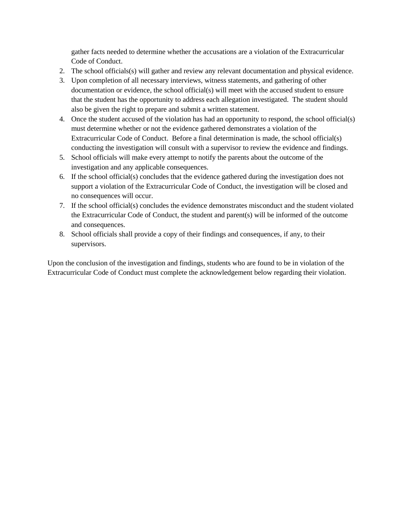gather facts needed to determine whether the accusations are a violation of the Extracurricular Code of Conduct.

- 2. The school officials(s) will gather and review any relevant documentation and physical evidence.
- 3. Upon completion of all necessary interviews, witness statements, and gathering of other documentation or evidence, the school official(s) will meet with the accused student to ensure that the student has the opportunity to address each allegation investigated. The student should also be given the right to prepare and submit a written statement.
- 4. Once the student accused of the violation has had an opportunity to respond, the school official(s) must determine whether or not the evidence gathered demonstrates a violation of the Extracurricular Code of Conduct. Before a final determination is made, the school official(s) conducting the investigation will consult with a supervisor to review the evidence and findings.
- 5. School officials will make every attempt to notify the parents about the outcome of the investigation and any applicable consequences.
- 6. If the school official(s) concludes that the evidence gathered during the investigation does not support a violation of the Extracurricular Code of Conduct, the investigation will be closed and no consequences will occur.
- 7. If the school official(s) concludes the evidence demonstrates misconduct and the student violated the Extracurricular Code of Conduct, the student and parent(s) will be informed of the outcome and consequences.
- 8. School officials shall provide a copy of their findings and consequences, if any, to their supervisors.

Upon the conclusion of the investigation and findings, students who are found to be in violation of the Extracurricular Code of Conduct must complete the acknowledgement below regarding their violation.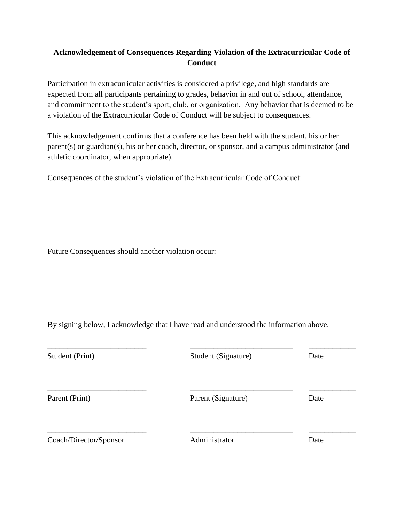#### **Acknowledgement of Consequences Regarding Violation of the Extracurricular Code of Conduct**

Participation in extracurricular activities is considered a privilege, and high standards are expected from all participants pertaining to grades, behavior in and out of school, attendance, and commitment to the student's sport, club, or organization. Any behavior that is deemed to be a violation of the Extracurricular Code of Conduct will be subject to consequences.

This acknowledgement confirms that a conference has been held with the student, his or her parent(s) or guardian(s), his or her coach, director, or sponsor, and a campus administrator (and athletic coordinator, when appropriate).

Consequences of the student's violation of the Extracurricular Code of Conduct:

Future Consequences should another violation occur:

By signing below, I acknowledge that I have read and understood the information above.

| Student (Print)        | Student (Signature) | Date |
|------------------------|---------------------|------|
| Parent (Print)         | Parent (Signature)  | Date |
| Coach/Director/Sponsor | Administrator       | Date |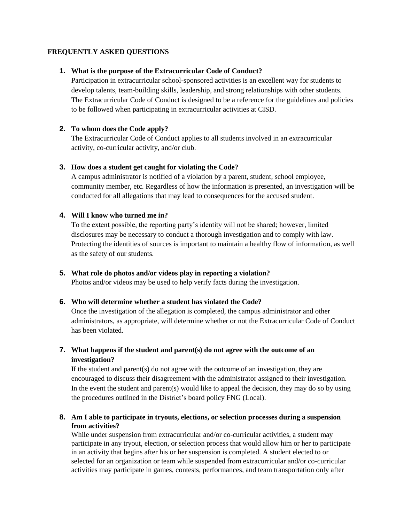#### **FREQUENTLY ASKED QUESTIONS**

#### **1. What is the purpose of the Extracurricular Code of Conduct?**

Participation in extracurricular school-sponsored activities is an excellent way for students to develop talents, team-building skills, leadership, and strong relationships with other students. The Extracurricular Code of Conduct is designed to be a reference for the guidelines and policies to be followed when participating in extracurricular activities at CISD.

#### **2. To whom does the Code apply?**

The Extracurricular Code of Conduct applies to all students involved in an extracurricular activity, co-curricular activity, and/or club.

#### **3. How does a student get caught for violating the Code?**

A campus administrator is notified of a violation by a parent, student, school employee, community member, etc. Regardless of how the information is presented, an investigation will be conducted for all allegations that may lead to consequences for the accused student.

#### **4. Will I know who turned me in?**

To the extent possible, the reporting party's identity will not be shared; however, limited disclosures may be necessary to conduct a thorough investigation and to comply with law. Protecting the identities of sources is important to maintain a healthy flow of information, as well as the safety of our students.

#### **5. What role do photos and/or videos play in reporting a violation?**

Photos and/or videos may be used to help verify facts during the investigation.

#### **6. Who will determine whether a student has violated the Code?**

Once the investigation of the allegation is completed, the campus administrator and other administrators, as appropriate, will determine whether or not the Extracurricular Code of Conduct has been violated.

#### **7. What happens if the student and parent(s) do not agree with the outcome of an investigation?**

If the student and parent(s) do not agree with the outcome of an investigation, they are encouraged to discuss their disagreement with the administrator assigned to their investigation. In the event the student and parent(s) would like to appeal the decision, they may do so by using the procedures outlined in the District's board policy FNG (Local).

#### **8. Am I able to participate in tryouts, elections, or selection processes during a suspension from activities?**

While under suspension from extracurricular and/or co-curricular activities, a student may participate in any tryout, election, or selection process that would allow him or her to participate in an activity that begins after his or her suspension is completed. A student elected to or selected for an organization or team while suspended from extracurricular and/or co-curricular activities may participate in games, contests, performances, and team transportation only after